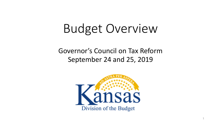# Budget Overview

### Governor's Council on Tax Reform September 24 and 25, 2019

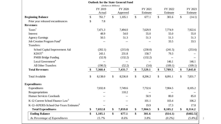|                                                     | <b>Outlook for the State General Fund</b> |                           |                          |               |               |                          |               |             |
|-----------------------------------------------------|-------------------------------------------|---------------------------|--------------------------|---------------|---------------|--------------------------|---------------|-------------|
|                                                     |                                           | (Dollars in Millions)     |                          |               |               |                          |               |             |
|                                                     | FY 2019                                   |                           | FY 2020                  | FY 2021       |               | FY 2022                  |               | FY 2023     |
|                                                     | Actual                                    |                           | Approved                 | Estimate      |               | Estimate                 |               | Estimate    |
| <b>Beginning Balance</b>                            | \$<br>761.7                               | $\sqrt{\ }$               | 1,105.1                  | \$<br>677.1   | $\mathcal{S}$ | 301.6                    | $\mathcal{S}$ | (14.1)      |
| Prior year released encumbrances                    | \$<br>7.8                                 |                           |                          |               |               |                          |               |             |
| <b>Revenues</b>                                     |                                           |                           |                          |               |               |                          |               |             |
| Taxes <sup>1</sup>                                  | 7,471.3                                   |                           | 7,494.0                  | 7,629.9       |               | 7,774.9                  |               | 7,922.6     |
| Interest                                            | 48.9                                      |                           | 54.0                     | 55.0          |               | 55.0                     |               | 55.0        |
| <b>Agency Earnings</b>                              | 50.5                                      |                           | 51.3                     | 51.3          |               | 51.3                     |               | 51.3        |
| Job Creation Program Fund <sup>2</sup>              |                                           |                           |                          |               |               | 33.5                     |               | 33.5        |
| Transfers:                                          |                                           |                           |                          |               |               |                          |               |             |
| School Capital Improvement Aid                      | (202.1)                                   |                           | (215.0)                  | (230.0)       |               | (241.5)                  |               | (253.6)     |
| $K$ DOT <sup>3</sup>                                | 243.1                                     |                           | 231.8                    | 158.7         |               | 79.3                     |               |             |
| <b>PMIB Bridge Funding</b>                          | (52.9)                                    |                           | (132.2)                  | (132.2)       |               | $\overline{\phantom{m}}$ |               |             |
| Local Government <sup>4</sup>                       | $- -$                                     |                           | $\overline{\phantom{m}}$ | $-$           |               | 146.1                    |               | 146.1       |
| <b>All Other Transfers</b>                          | (190.5)                                   |                           | (52.2)                   | (3.6)         |               | (109.1)                  |               | (109.1)     |
| <b>Total Revenues</b>                               | 7,368.4                                   |                           | 7,431.7                  | \$<br>7,529.1 | \$            | 7,789.5                  | \$            | 7,845.8     |
| <b>Total Available</b>                              | \$<br>8,138.0                             | $\boldsymbol{\mathsf{S}}$ | 8,536.8                  | \$<br>8,206.2 | \$            | 8,091.1                  | \$            | 7,831.7     |
| <b>Expenditures</b>                                 |                                           |                           |                          |               |               |                          |               |             |
| Expenditures                                        | 7,032.8                                   |                           | 7,749.6                  | 7,732.6       |               | 7,904.5                  |               | 8,105.2     |
| Reappropriations                                    |                                           |                           | 110.2                    |               |               |                          |               |             |
| Human Services Caseloads                            |                                           |                           |                          | 50.9          |               | 80.0                     |               | 85.0        |
| K-12 Current School Finance Law <sup>5</sup>        |                                           |                           | $-$                      | 101.1         |               | 103.4                    |               | 106.2       |
| K-12--KPERS-School Out-Years Estimates <sup>6</sup> |                                           |                           |                          | 19.9          |               | 17.3                     |               | 17.8        |
| <b>Total Expenditures</b>                           | \$<br>7,032.8                             | \$                        | 7,859.8                  | \$<br>7,904.5 | \$            | 8,105.2                  | \$            | 8,314.2     |
| <b>Ending Balance</b>                               | \$<br>1,105.1                             | \$                        | 677.1                    | \$<br>301.6   |               | (\$14.1)                 |               | $(\$482.5)$ |
| As Percentage of Expenditures                       | 15.7%                                     |                           | 8.6%                     | 3.8%          |               | $(0.2\%)$                |               | $(5.8\%)$   |

2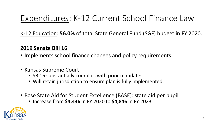### Expenditures: K-12 Current School Finance Law

K-12 Education: **56.0%** of total State General Fund (SGF) budget in FY 2020.

#### **2019 Senate Bill 16**

- Implements school finance changes and policy requirements.
- Kansas Supreme Court
	- SB 16 substantially complies with prior mandates.
	- Will retain jurisdiction to ensure plan is fully implemented.
- Base State Aid for Student Excellence (BASE): state aid per pupil
	- Increase from **\$4,436** in FY 2020 to **\$4,846** in FY 2023.

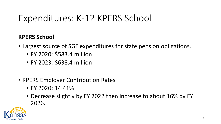### Expenditures: K-12 KPERS School

#### **KPERS School**

- Largest source of SGF expenditures for state pension obligations.
	- FY 2020: \$583.4 million
	- FY 2023: \$638.4 million
- KPERS Employer Contribution Rates
	- FY 2020: 14.41%
	- Decrease slightly by FY 2022 then increase to about 16% by FY 2026.

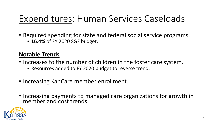# Expenditures: Human Services Caseloads

- Required spending for state and federal social service programs.
	- **16.4%** of FY 2020 SGF budget.

#### **Notable Trends**

- Increases to the number of children in the foster care system.
	- Resources added to FY 2020 budget to reverse trend.
- Increasing KanCare member enrollment.
- Increasing payments to managed care organizations for growth in member and cost trends.

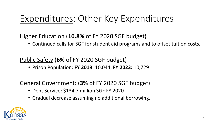# Expenditures: Other Key Expenditures

#### Higher Education (**10.8%** of FY 2020 SGF budget)

• Continued calls for SGF for student aid programs and to offset tuition costs.

#### Public Safety (**6%** of FY 2020 SGF budget)

• Prison Population: **FY 2019:** 10,044; **FY 2023:** 10,729

### General Government: (**3%** of FY 2020 SGF budget)

- Debt Service: \$134.7 million SGF FY 2020
- Gradual decrease assuming no additional borrowing.

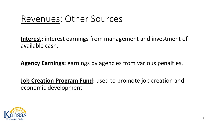### Revenues: Other Sources

**Interest:** interest earnings from management and investment of available cash.

**Agency Earnings:** earnings by agencies from various penalties.

**Job Creation Program Fund:** used to promote job creation and economic development.

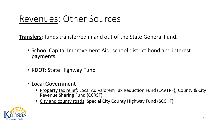# Revenues: Other Sources

**Transfers**: funds transferred in and out of the State General Fund.

- School Capital Improvement Aid: school district bond and interest payments.
- KDOT: State Highway Fund
- Local Government
	- Property tax relief: Local Ad Valorem Tax Reduction Fund (LAVTRF); County & City Revenue Sharing Fund (CCRSF)
	- City and county roads: Special City County Highway Fund (SCCHF)

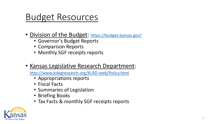### Budget Resources

- Division of the Budget: <https://budget.kansas.gov/>
	- Governor's Budget Reports
	- Comparison Reports
	- Monthly SGF receipts reports
- Kansas Legislative Research Department:

<http://www.kslegresearch.org/KLRD-web/Policy.html>

- Appropriations reports
- Fiscal Facts
- Summaries of Legislation
- Briefing Books
- Tax Facts & monthly SGF receipts reports